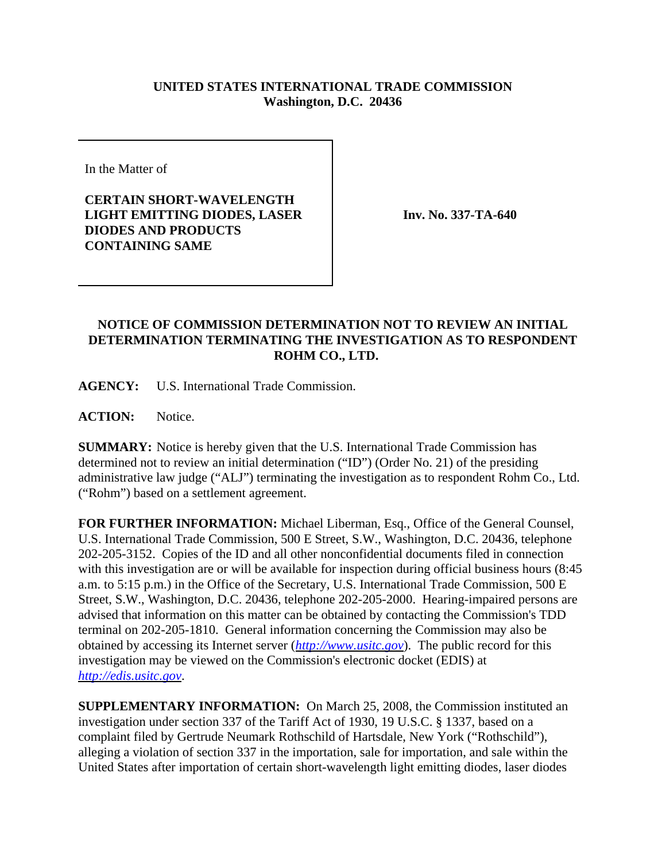## **UNITED STATES INTERNATIONAL TRADE COMMISSION Washington, D.C. 20436**

In the Matter of

**CERTAIN SHORT-WAVELENGTH LIGHT EMITTING DIODES, LASER DIODES AND PRODUCTS CONTAINING SAME**

**Inv. No. 337-TA-640**

## **NOTICE OF COMMISSION DETERMINATION NOT TO REVIEW AN INITIAL DETERMINATION TERMINATING THE INVESTIGATION AS TO RESPONDENT ROHM CO., LTD.**

**AGENCY:** U.S. International Trade Commission.

**ACTION:** Notice.

**SUMMARY:** Notice is hereby given that the U.S. International Trade Commission has determined not to review an initial determination ("ID") (Order No. 21) of the presiding administrative law judge ("ALJ") terminating the investigation as to respondent Rohm Co., Ltd. ("Rohm") based on a settlement agreement.

**FOR FURTHER INFORMATION:** Michael Liberman, Esq., Office of the General Counsel, U.S. International Trade Commission, 500 E Street, S.W., Washington, D.C. 20436, telephone 202-205-3152. Copies of the ID and all other nonconfidential documents filed in connection with this investigation are or will be available for inspection during official business hours (8:45 a.m. to 5:15 p.m.) in the Office of the Secretary, U.S. International Trade Commission, 500 E Street, S.W., Washington, D.C. 20436, telephone 202-205-2000. Hearing-impaired persons are advised that information on this matter can be obtained by contacting the Commission's TDD terminal on 202-205-1810. General information concerning the Commission may also be obtained by accessing its Internet server (*http://www.usitc.gov*). The public record for this investigation may be viewed on the Commission's electronic docket (EDIS) at *http://edis.usitc.gov*.

**SUPPLEMENTARY INFORMATION:** On March 25, 2008, the Commission instituted an investigation under section 337 of the Tariff Act of 1930, 19 U.S.C. § 1337, based on a complaint filed by Gertrude Neumark Rothschild of Hartsdale, New York ("Rothschild"), alleging a violation of section 337 in the importation, sale for importation, and sale within the United States after importation of certain short-wavelength light emitting diodes, laser diodes